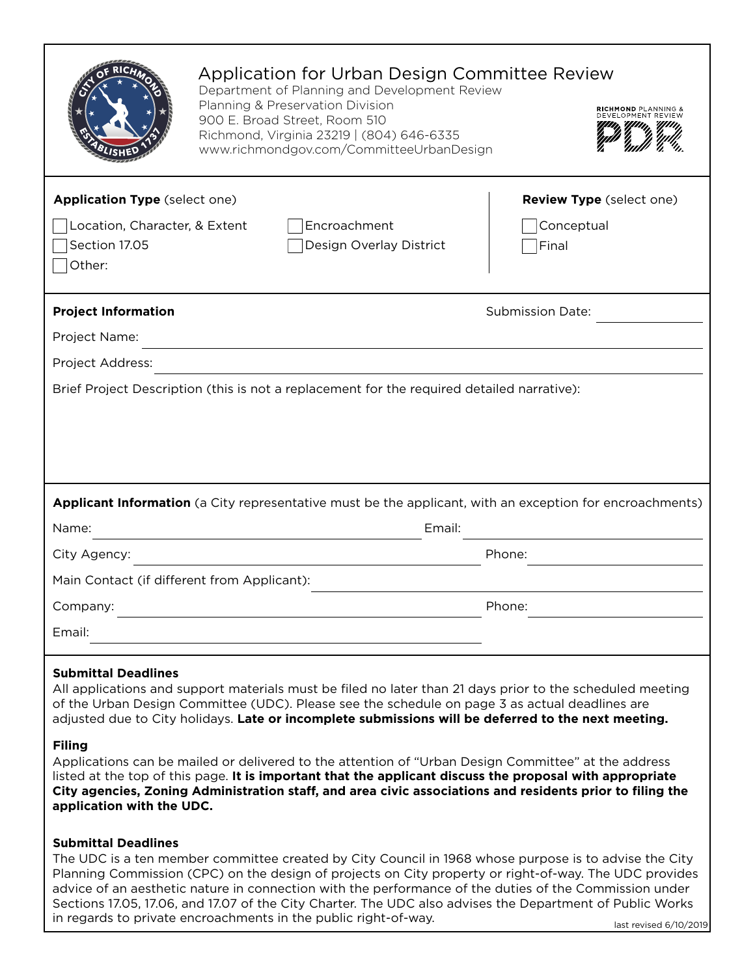|                                                                                                                                                                                                                                                                                                                                                                                                                                                                                                                                                                                                                                                                                                                                                                                                                                                                       | Application for Urban Design Committee Review<br>Department of Planning and Development Review<br>Planning & Preservation Division<br>900 E. Broad Street, Room 510<br>Richmond, Virginia 23219   (804) 646-6335<br>www.richmondgov.com/CommitteeUrbanDesign |                                                         |  |  |
|-----------------------------------------------------------------------------------------------------------------------------------------------------------------------------------------------------------------------------------------------------------------------------------------------------------------------------------------------------------------------------------------------------------------------------------------------------------------------------------------------------------------------------------------------------------------------------------------------------------------------------------------------------------------------------------------------------------------------------------------------------------------------------------------------------------------------------------------------------------------------|--------------------------------------------------------------------------------------------------------------------------------------------------------------------------------------------------------------------------------------------------------------|---------------------------------------------------------|--|--|
| <b>Application Type (select one)</b><br>Location, Character, & Extent<br>Section 17.05<br>Other:                                                                                                                                                                                                                                                                                                                                                                                                                                                                                                                                                                                                                                                                                                                                                                      | Encroachment<br>Design Overlay District                                                                                                                                                                                                                      | <b>Review Type</b> (select one)<br>Conceptual<br> Final |  |  |
| <b>Project Information</b>                                                                                                                                                                                                                                                                                                                                                                                                                                                                                                                                                                                                                                                                                                                                                                                                                                            |                                                                                                                                                                                                                                                              | <b>Submission Date:</b>                                 |  |  |
| Project Name:                                                                                                                                                                                                                                                                                                                                                                                                                                                                                                                                                                                                                                                                                                                                                                                                                                                         |                                                                                                                                                                                                                                                              |                                                         |  |  |
| Project Address:                                                                                                                                                                                                                                                                                                                                                                                                                                                                                                                                                                                                                                                                                                                                                                                                                                                      |                                                                                                                                                                                                                                                              |                                                         |  |  |
| Name:                                                                                                                                                                                                                                                                                                                                                                                                                                                                                                                                                                                                                                                                                                                                                                                                                                                                 | Applicant Information (a City representative must be the applicant, with an exception for encroachments)<br>Email:                                                                                                                                           |                                                         |  |  |
| City Agency:                                                                                                                                                                                                                                                                                                                                                                                                                                                                                                                                                                                                                                                                                                                                                                                                                                                          |                                                                                                                                                                                                                                                              | Phone:                                                  |  |  |
| Main Contact (if different from Applicant):                                                                                                                                                                                                                                                                                                                                                                                                                                                                                                                                                                                                                                                                                                                                                                                                                           |                                                                                                                                                                                                                                                              |                                                         |  |  |
| Company:                                                                                                                                                                                                                                                                                                                                                                                                                                                                                                                                                                                                                                                                                                                                                                                                                                                              |                                                                                                                                                                                                                                                              | Phone:                                                  |  |  |
| Email:                                                                                                                                                                                                                                                                                                                                                                                                                                                                                                                                                                                                                                                                                                                                                                                                                                                                |                                                                                                                                                                                                                                                              |                                                         |  |  |
| <b>Submittal Deadlines</b><br>All applications and support materials must be filed no later than 21 days prior to the scheduled meeting<br>of the Urban Design Committee (UDC). Please see the schedule on page 3 as actual deadlines are<br>adjusted due to City holidays. Late or incomplete submissions will be deferred to the next meeting.<br><b>Filing</b><br>Applications can be mailed or delivered to the attention of "Urban Design Committee" at the address<br>listed at the top of this page. It is important that the applicant discuss the proposal with appropriate<br>City agencies, Zoning Administration staff, and area civic associations and residents prior to filing the<br>application with the UDC.<br><b>Submittal Deadlines</b><br>The UDC is an 11 member committee created by City Council in 1968 whose purpose is to advise the City |                                                                                                                                                                                                                                                              |                                                         |  |  |
| Planning Commission (CPC) on the design of projects on City property or right-of-way. The UDC provides<br>advice of an aesthetic nature in connection with the performance of the duties of the Commission under                                                                                                                                                                                                                                                                                                                                                                                                                                                                                                                                                                                                                                                      |                                                                                                                                                                                                                                                              |                                                         |  |  |

Sections 17.05, 17.06, and 17.07 of the City Charter. The UDC also advises the Department of Public Works

in regards to private encroachments in the public right-of-way.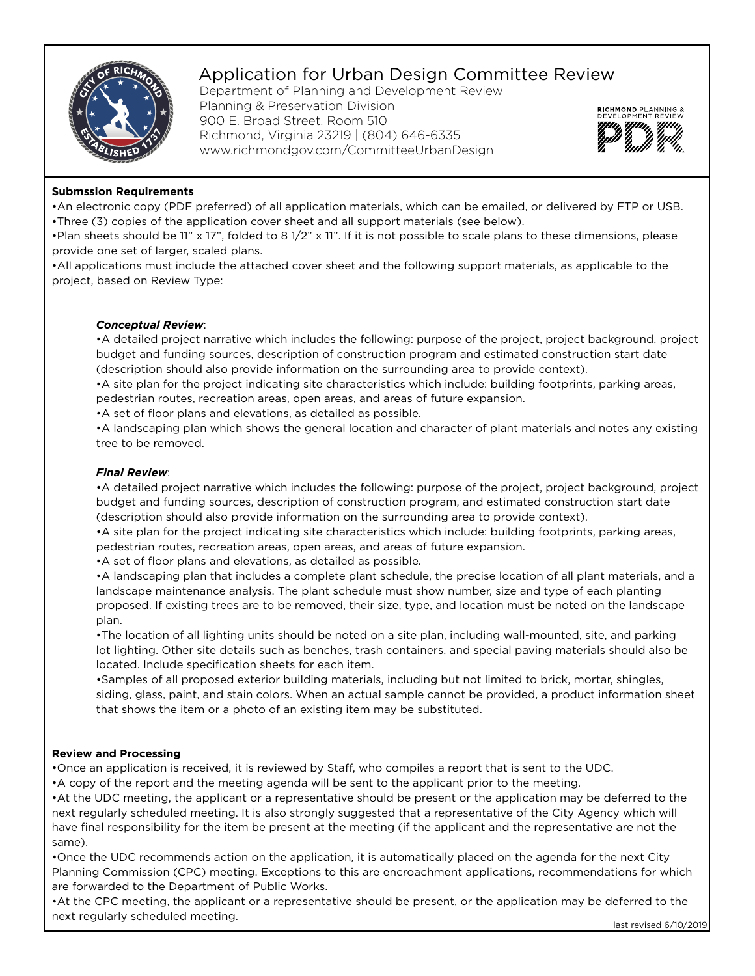

# Application for Urban Design Committee Review

Department of Planning and Development Review Planning & Preservation Division 900 E. Broad Street, Room 510 Richmond, Virginia 23219 | (804) 646-6335 www.richmondgov.com/CommitteeUrbanDesign



### **Submssion Requirements**

•An electronic copy (PDF preferred) of all application materials, which can be emailed, or delivered by FTP or USB. •Three (3) copies of the application cover sheet and all support materials (see below).

•Plan sheets should be 11" x 17", folded to 8 1/2" x 11". If it is not possible to scale plans to these dimensions, please provide one set of larger, scaled plans.

•All applications must include the attached cover sheet and the following support materials, as applicable to the project, based on Review Type:

### *Conceptual Review*:

•A detailed project narrative which includes the following: purpose of the project, project background, project budget and funding sources, description of construction program and estimated construction start date (description should also provide information on the surrounding area to provide context).

•A site plan for the project indicating site characteristics which include: building footprints, parking areas, pedestrian routes, recreation areas, open areas, and areas of future expansion.

•A set of floor plans and elevations, as detailed as possible.

•A landscaping plan which shows the general location and character of plant materials and notes any existing tree to be removed.

#### *Final Review*:

•A detailed project narrative which includes the following: purpose of the project, project background, project budget and funding sources, description of construction program, and estimated construction start date (description should also provide information on the surrounding area to provide context).

•A site plan for the project indicating site characteristics which include: building footprints, parking areas, pedestrian routes, recreation areas, open areas, and areas of future expansion.

•A set of floor plans and elevations, as detailed as possible.

•A landscaping plan that includes a complete plant schedule, the precise location of all plant materials, and a landscape maintenance analysis. The plant schedule must show number, size and type of each planting proposed. If existing trees are to be removed, their size, type, and location must be noted on the landscape plan.

•The location of all lighting units should be noted on a site plan, including wall-mounted, site, and parking lot lighting. Other site details such as benches, trash containers, and special paving materials should also be located. Include specification sheets for each item.

•Samples of all proposed exterior building materials, including but not limited to brick, mortar, shingles, siding, glass, paint, and stain colors. When an actual sample cannot be provided, a product information sheet that shows the item or a photo of an existing item may be substituted.

### **Review and Processing**

•Once an application is received, it is reviewed by Staff, who compiles a report that is sent to the UDC.

•A copy of the report and the meeting agenda will be sent to the applicant prior to the meeting.

•At the UDC meeting, the applicant or a representative should be present or the application may be deferred to the next regularly scheduled meeting. It is also strongly suggested that a representative of the City Agency which will have final responsibility for the item be present at the meeting (if the applicant and the representative are not the same).

•Once the UDC recommends action on the application, it is automatically placed on the agenda for the next City Planning Commission (CPC) meeting. Exceptions to this are encroachment applications, recommendations for which are forwarded to the Department of Public Works.

•At the CPC meeting, the applicant or a representative should be present, or the application may be deferred to the next regularly scheduled meeting.